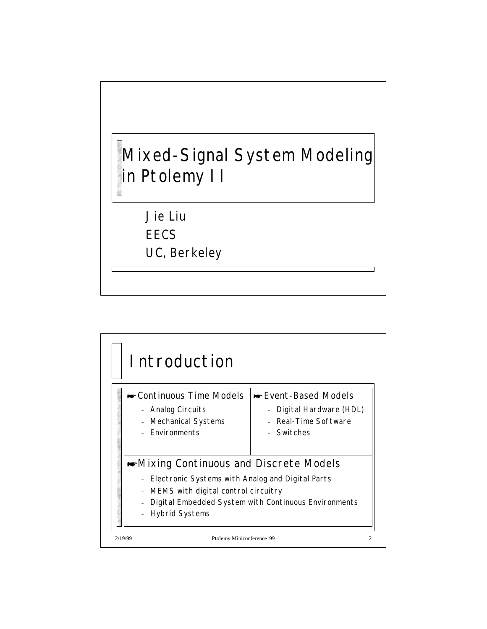

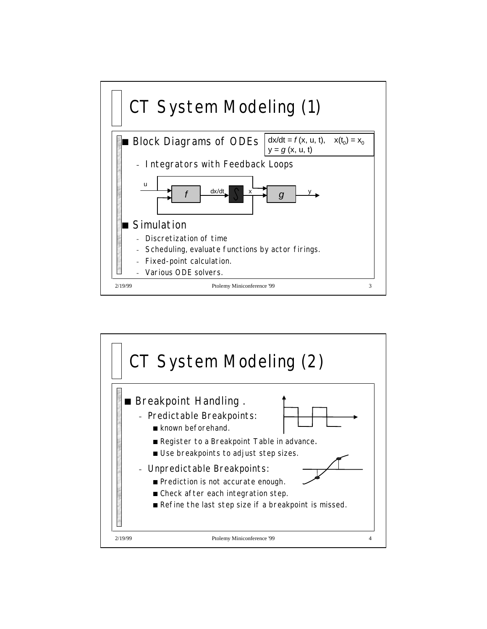

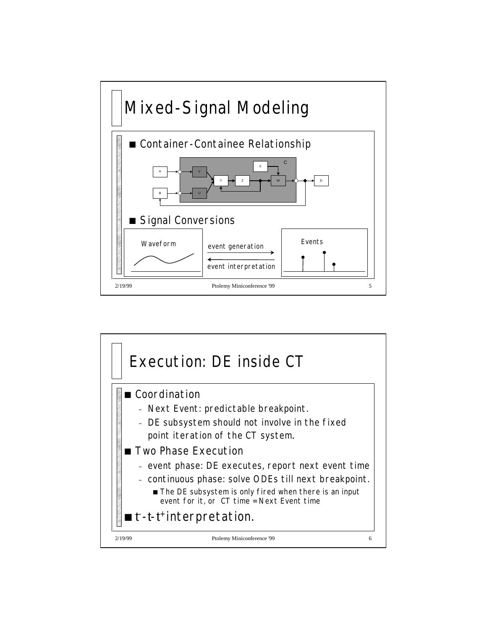

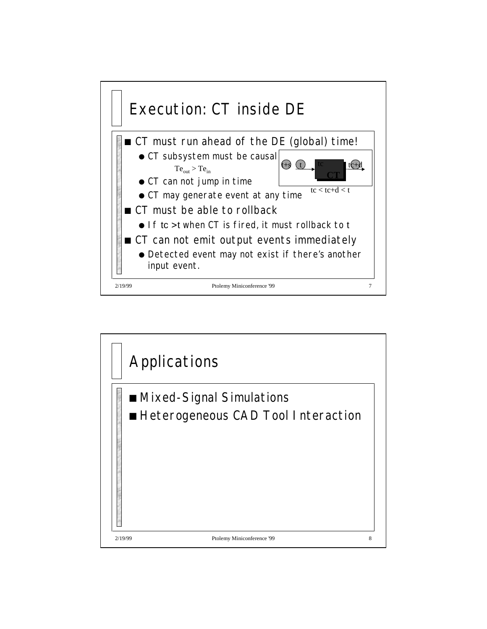

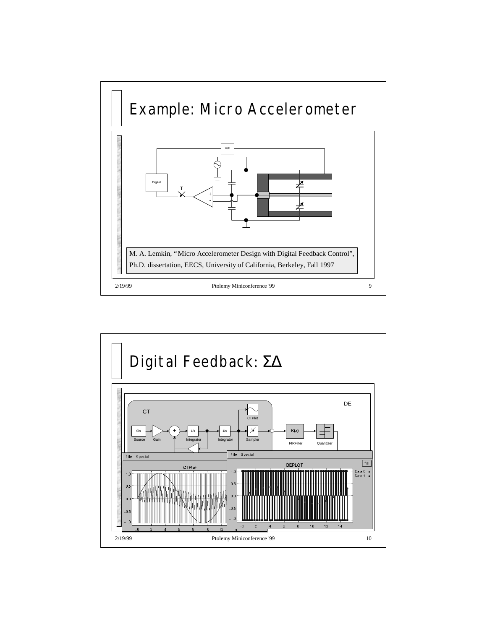